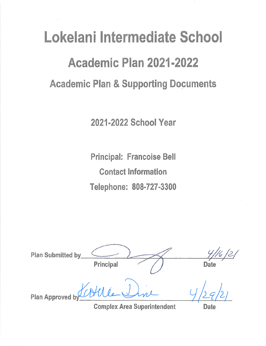# Lokelani Intermediate School Academic Plan 2021-2022 **Academic Plan & Supporting Documents**

2021-2022 School Year

**Principal: Francoise Bell Contact Information** Telephone: 808-727-3300

**Plan Submitted by** Principal Date Plan Approved

**Complex Area Superintendent** 

Date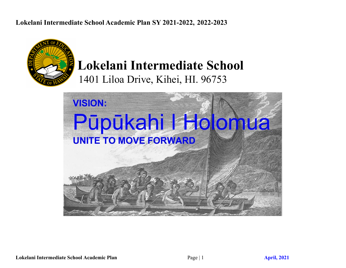

## **Lokelani Intermediate School** 1401 Liloa Drive, Kihei, HI. 96753

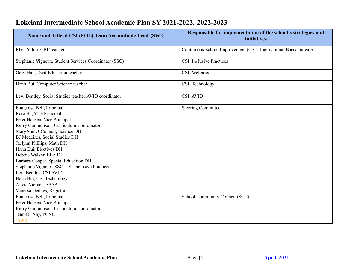| Name and Title of CSI (FOL) Team Accountable Lead (SW2)                                                                                                                                                                                                                                                                                                                                                                                                                                  | Responsible for implementation of the school's strategies and<br><i>initiatives</i> |
|------------------------------------------------------------------------------------------------------------------------------------------------------------------------------------------------------------------------------------------------------------------------------------------------------------------------------------------------------------------------------------------------------------------------------------------------------------------------------------------|-------------------------------------------------------------------------------------|
| Rhea Yalon, CBI Teacher                                                                                                                                                                                                                                                                                                                                                                                                                                                                  | Continuous School Improvement (CSI): International Baccalaureate                    |
| Stephanie Vigneux, Student Services Coordinator (SSC)                                                                                                                                                                                                                                                                                                                                                                                                                                    | <b>CSI:</b> Inclusive Practices                                                     |
| Gary Hall, Deaf Education teacher                                                                                                                                                                                                                                                                                                                                                                                                                                                        | CSI: Wellness                                                                       |
| Hanh Bui, Computer Science teacher                                                                                                                                                                                                                                                                                                                                                                                                                                                       | CSI: Technology                                                                     |
| Levi Bentley, Social Studies teacher/AVID coordinator                                                                                                                                                                                                                                                                                                                                                                                                                                    | <b>CSI: AVID</b>                                                                    |
| Françoise Bell, Principal<br>Rosa Su, Vice Principal<br>Peter Hansen, Vice Principal<br>Kerry Gudmunson, Curriculum Coordinator<br>MaryAnn O'Connell, Science DH<br>BJ Medeiros, Social Studies DH<br>Jaclynn Phillips, Math DH<br>Hanh Bui, Electives DH<br>Debbie Walker, ELA DH<br>Barbara Cooper, Special Education DH<br>Stephanie Vigneux, SSC, CSI Inclusive Practices<br>Levi Bentley, CSI AVID<br>Hana Bui, CSI Technology<br>Alicia Viernes, SASA<br>Vanessa Geddes, Registrar | <b>Steering Committee</b>                                                           |
| Francoise Bell, Principal<br>Peter Hansen, Vice Principal<br>Kerry Gudmunson, Curriculum Coordinator<br>Jennifer Nay, PCNC<br>(SW2)                                                                                                                                                                                                                                                                                                                                                      | School Community Council (SCC)                                                      |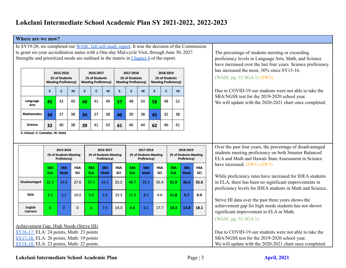#### **Where are we now?**

In SY19-20, we completed our WASC full [self-study](https://docs.google.com/document/d/1pASSFR9grZcdzqzZ3pAH-bTaPYBnNwoQCExAtB-FcBE/edit?usp=sharing) report. It was the decision of the Commission to grant six-year accreditation status with a One-day Mid-cycle Visit, through June 30, 2027. Strengths and prioritized needs are outlined in the matrix in [Chapter](https://docs.google.com/document/d/1l8c0BAQ7M_1mqhVDBsd24HvdR8N4x6eujxcyYNdxXC0/edit?usp=sharing) 4 of the report.

|                    |    | 2015-2016<br>(% of Students<br><b>Meeting Proficiency)</b> |    |    | 2016-2017<br>(% of Students<br><b>Meeting Proficiency)</b> |    |              | 2017-2018<br>(% of Students<br><b>Meeting Proficiency)</b> |    |              | 2018-2019<br>(% of Students<br><b>Meeting Proficiency)</b> |    |
|--------------------|----|------------------------------------------------------------|----|----|------------------------------------------------------------|----|--------------|------------------------------------------------------------|----|--------------|------------------------------------------------------------|----|
|                    | S  | C                                                          | HI | S  | C                                                          | HI | $\mathsf{s}$ | C                                                          | HI | $\mathsf{s}$ | C                                                          | HI |
| Language<br>Arts   | 45 | 42                                                         | 49 | 49 | 41                                                         | 49 | 57           | 48                                                         | 54 | 58           | 48                                                         | 52 |
| <b>Mathematics</b> | 34 | 27                                                         | 38 | 34 | 27                                                         | 38 | 40           | 30                                                         | 38 | 45           | 32                                                         | 38 |
| Science            | 32 | 40                                                         | 38 | 39 | 41                                                         | 43 | 61           | 46                                                         | 44 | 62           | 46                                                         | 41 |

S: School. C: Complex. HI: State

|                      |                          | 2015-2016<br>(% of Students Meeting<br>Proficiency) |            |                          | 2016-2017<br>(% of Students Meeting<br>Proficiency) |            |                          | 2017-2018<br>(% of Students Meeting<br>Proficiency) |            |                          | 2018-2019<br>(% of Students Meeting<br>Proficiency) |                   |
|----------------------|--------------------------|-----------------------------------------------------|------------|--------------------------|-----------------------------------------------------|------------|--------------------------|-----------------------------------------------------|------------|--------------------------|-----------------------------------------------------|-------------------|
|                      | <b>SBA</b><br><b>ELA</b> | <b>SBA</b><br><b>Math</b>                           | HSA<br>SCI | <b>SBA</b><br><b>ELA</b> | <b>SBA</b><br><b>Math</b>                           | HSA<br>SCI | <b>SBA</b><br><b>ELA</b> | <b>SBA</b><br><b>Math</b>                           | HSA<br>SCI | <b>SBA</b><br><b>ELA</b> | <b>SBA</b><br><b>Math</b>                           | <b>HSA</b><br>SCI |
| <b>Disadvantaged</b> | 32.3                     | 24.6                                                | 27.6       | 37.5                     | 24.1                                                | 25.2       | 48.7                     | 35.3                                                | 55.4       | 51.9                     | 36.6                                                | 55.6              |
| <b>IDEA</b>          | 3.2                      | 3.1                                                 | 10.0       | 5.0                      | 1.6                                                 | 23.3       | 11.5                     | 8.5                                                 | 4.6        | 11.8                     | 5.7                                                 | 0.0               |
| English<br>Learners  | 0                        | $\Omega$                                            | $\Omega$   | 0                        | 7.5                                                 | 14.3       | 8.8                      | 9.1                                                 | 17.7       | 10.3                     | 13.8                                                | 18.1              |

Achievement Gap, High Needs (Strive HI) [SY16-17:](https://drive.google.com/file/d/0Bzdf1zvUMyj9S1F1UnR2QWp1WTQ/view) ELA: 24 points, Math: 23 points [SY17-18:](https://drive.google.com/file/d/1i_gyR6pFcYjpGdfI0MFuulWziYEWtf_I/view?usp=sharing) ELA: 26 points, Math: 19 points

[SY18-19:](https://drive.google.com/a/lokelanischool.k12.hi.us/file/d/1A-Wuq-Bc-uxEvCLsM1dOcB7F-mZCsn1h/view?usp=sharing) ELA: 23 points, Math: 22 points

The percentage of students meeting or exceeding proficiency levels in Language Arts, Math, and Science have increased over the last four years. Science proficiency has increased the most,  $30\%$  since SY15-16.

(WASC pg. 52 SGA 1) (SW3)

Due to COVID-19 our students were not able to take the SBA/NGSS test for the 2019-2020 school year. We will update with the 2020-2021 chart once completed.

Over the past four years, the percentage of disadvantaged students meeting proficiency on both Smarter Balanced ELA and Math and Hawaii State Assessment in Science have increased. (SW1) (SW3)

While proficiency rates have increased for IDEA students in ELA, there has been no significant improvements in proficiency levels for IDEA students in Math and Science..

Strive HI data over the past three years shows the achievement gap for high needs students has not shown significant improvement in ELA or Math.

(WASC pg. 52 SGA 1)

Due to COVID-19 our students were not able to take the SBA/NGSS test for the 2019-2020 school year. We will update with the 2020-2021 chart once completed.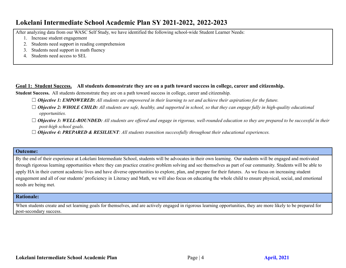After analyzing data from our WASC Self Study, we have identified the following school-wide Student Learner Needs:

- 1. Increase student engagement
- 2. Students need support in reading comprehension
- 3. Students need support in math fluency
- 4. Students need access to SEL

#### **Goal 1: Student Success. All students demonstrate they are on a path toward success in college, career and citizenship.**

**Student Success.** All students demonstrate they are on a path toward success in college, career and citizenship.

- $\Box$  Objective 1: EMPOWERED: All students are empowered in their learning to set and achieve their aspirations for the future.
- $\Box$  Objective 2: WHOLE CHILD: All students are safe, healthy, and supported in school, so that they can engage fully in high-quality educational *opportunities.*
- $\Box$  Objective 3: WELL-ROUNDED: All students are offered and engage in rigorous, well-rounded education so they are prepared to be successful in their *post-high school goals.*
- ☐ *Objective 4: PREPARED & RESILIENT: All students transition successfully throughout their educational experiences.*

#### **Outcome:**

By the end of their experience at Lokelani Intermediate School, students will be advocates in their own learning. Our students will be engaged and motivated through rigorous learning opportunities where they can practice creative problem solving and see themselves as part of our community. Students will be able to apply HA in their current academic lives and have diverse opportunities to explore, plan, and prepare for their futures. As we focus on increasing student engagement and all of our students' proficiency in Literacy and Math, we will also focus on educating the whole child to ensure physical, social, and emotional needs are being met.

#### **Rationale:**

When students create and set learning goals for themselves, and are actively engaged in rigorous learning opportunities, they are more likely to be prepared for post-secondary success.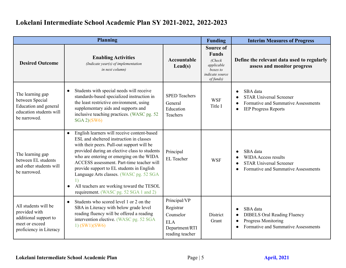| <b>Planning</b>                                                                                             |                                                                                                                                                                                                                                                                                                                                                                                                                                                                                          |                                                                                           |                                                                                                       | <b>Interim Measures of Progress</b>                                                                                                     |
|-------------------------------------------------------------------------------------------------------------|------------------------------------------------------------------------------------------------------------------------------------------------------------------------------------------------------------------------------------------------------------------------------------------------------------------------------------------------------------------------------------------------------------------------------------------------------------------------------------------|-------------------------------------------------------------------------------------------|-------------------------------------------------------------------------------------------------------|-----------------------------------------------------------------------------------------------------------------------------------------|
| <b>Desired Outcome</b>                                                                                      | <b>Enabling Activities</b><br>(Indicate year(s) of implementation<br>in next column)                                                                                                                                                                                                                                                                                                                                                                                                     | Accountable<br>$\text{Lead}(s)$                                                           | Source of<br><b>Funds</b><br>(Check)<br>applicable<br>boxes to<br><i>indicate source</i><br>of funds) | Define the relevant data used to regularly<br>assess and monitor progress                                                               |
| The learning gap<br>between Special<br>Education and general<br>education students will<br>be narrowed.     | Students with special needs will receive<br>$\bullet$<br>standards-based specialized instruction in<br>the least restrictive environment, using<br>supplementary aids and supports and<br>inclusive teaching practices. (WASC pg. 52)<br>SGA 2)(SW6)                                                                                                                                                                                                                                     | <b>SPED Teachers</b><br>General<br>Education<br>Teachers                                  | <b>WSF</b><br>Title I                                                                                 | SBA data<br><b>STAR Universal Screener</b><br>Formative and Summative Assessments<br><b>IEP Progress Reports</b>                        |
| The learning gap<br>between EL students<br>and other students will<br>be narrowed.                          | English learners will receive content-based<br>$\bullet$<br>ESL and sheltered instruction in classes<br>with their peers. Pull-out support will be<br>provided during an elective class to students<br>who are entering or emerging on the WIDA<br>ACCESS assessment. Part-time teacher will<br>provide support to EL students in English<br>Language Arts classes. (WASC pg. 52 SGA<br>All teachers are working toward the TESOL<br>$\bullet$<br>requirement. (WASC pg. 52 SGA 1 and 2) | Principal<br>EL Teacher                                                                   | <b>WSF</b>                                                                                            | SBA data<br><b>WIDA Access results</b><br><b>STAR Universal Screener</b><br>Formative and Summative Assessments                         |
| All students will be<br>provided with<br>additional support to<br>meet or exceed<br>proficiency in Literacy | Students who scored level 1 or 2 on the<br>$\bullet$<br>SBA in Literacy with below grade level<br>reading fluency will be offered a reading<br>intervention elective. (WASC pg. 52 SGA<br>$1)$ (SW1)(SW6)                                                                                                                                                                                                                                                                                | Principal/VP<br>Registrar<br>Counselor<br><b>ELA</b><br>Department/RTI<br>reading teacher | District<br>Grant                                                                                     | SBA data<br><b>DIBELS Oral Reading Fluency</b><br>$\bullet$<br><b>Progress Monitoring</b><br><b>Formative and Summative Assessments</b> |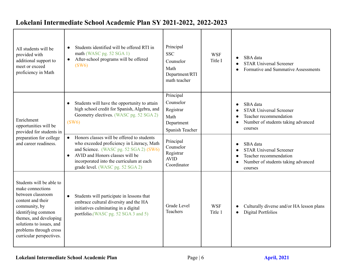| All students will be<br>provided with<br>additional support to<br>meet or exceed<br>proficiency in Math                                                                                                                                   | Students identified will be offered RTI in<br>math (WASC pg. 52 SGA 1)<br>After-school programs will be offered<br>(SW6)                                                                                                                                           | Principal<br><b>SSC</b><br>Counselor<br>Math<br>Department/RTI<br>math teacher | <b>WSF</b><br>Title I | SBA data<br><b>STAR Universal Screener</b><br><b>Formative and Summative Assessments</b>                                           |
|-------------------------------------------------------------------------------------------------------------------------------------------------------------------------------------------------------------------------------------------|--------------------------------------------------------------------------------------------------------------------------------------------------------------------------------------------------------------------------------------------------------------------|--------------------------------------------------------------------------------|-----------------------|------------------------------------------------------------------------------------------------------------------------------------|
| Enrichment<br>opportunities will be<br>provided for students in                                                                                                                                                                           | Students will have the opportunity to attain<br>high school credit for Spanish, Algebra, and<br>Geometry electives. (WASC pg. 52 SGA 2)<br>(SW6)                                                                                                                   | Principal<br>Counselor<br>Registrar<br>Math<br>Department<br>Spanish Teacher   |                       | SBA data<br><b>STAR Universal Screener</b><br>Teacher recommendation<br>Number of students taking advanced<br>$\bullet$<br>courses |
| preparation for college<br>and career readiness.                                                                                                                                                                                          | Honors classes will be offered to students<br>$\bullet$<br>who exceeded proficiency in Literacy, Math<br>and Science. (WASC pg. 52 SGA 2) (SW6)<br>AVID and Honors classes will be<br>incorporated into the curriculum at each<br>grade level. (WASC pg. 52 SGA 2) | Principal<br>Counselor<br>Registrar<br><b>AVID</b><br>Coordinator              |                       | SBA data<br><b>STAR Universal Screener</b><br>Teacher recommendation<br>Number of students taking advanced<br>courses              |
| Students will be able to<br>make connections<br>between classroom<br>content and their<br>community, by<br>identifying common<br>themes, and developing<br>solutions to issues, and<br>problems through cross<br>curricular perspectives. | Students will participate in lessons that<br>$\bullet$<br>embrace cultural diversity and the HA<br>initiatives culminating in a digital<br>portfolio.(WASC pg. 52 SGA 3 and 5)                                                                                     | <b>Grade Level</b><br>Teachers                                                 | <b>WSF</b><br>Title 1 | Culturally diverse and/or HA lesson plans<br><b>Digital Portfolios</b><br>$\bullet$                                                |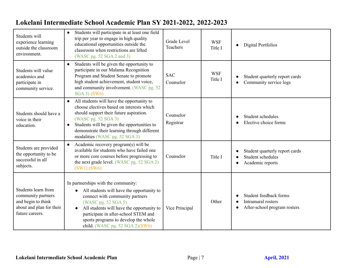| Students will<br>experience learning<br>outside the classroom<br>environment.                                  | Students will participate in at least one field<br>$\bullet$<br>trip per year to engage in high quality<br>educational opportunities outside the<br>classroom when restrictions are lifted<br>(WASC pg. 52 SGA 2 and 3)                                                                                                 | Grade Level<br>Teachers | <b>WSF</b><br>Title I | <b>Digital Portfolios</b><br>$\bullet$                                       |
|----------------------------------------------------------------------------------------------------------------|-------------------------------------------------------------------------------------------------------------------------------------------------------------------------------------------------------------------------------------------------------------------------------------------------------------------------|-------------------------|-----------------------|------------------------------------------------------------------------------|
| Students will value<br>academics and<br>participate in<br>community service.                                   | Students will be given the opportunity to<br>$\bullet$<br>participate in our Malama Recognition<br>Program and Student Senate to promote<br>high student achievement, student voice,<br>and community involvement. (WASC pg. 52<br>SGA 3) (SW6)                                                                         | <b>SAC</b><br>Counselor | <b>WSF</b><br>Title I | Student quarterly report cards<br>Community service logs<br>$\bullet$        |
| Students should have a<br>voice in their<br>education.                                                         | All students will have the opportunity to<br>$\bullet$<br>choose electives based on interests which<br>should support their future aspiration.<br>(WASC pg. 52 SGA 3)<br>Students will be given the opportunities to<br>$\bullet$<br>demonstrate their learning through different<br>modalities (WASC pg. 52 SGA 3)     | Counselor<br>Registrar  |                       | Student schedules<br>Elective choice forms                                   |
| Students are provided<br>the opportunity to be<br>successful in all<br>subjects.                               | Academic recovery program(s) will be<br>$\bullet$<br>available for students who have failed one<br>or more core courses before progressing to<br>the next grade level. (WASC pg. 52 SGA 2)<br>(SW1) (SW6)                                                                                                               | Counselor               | Title I               | Student quarterly report cards<br>Student schedules<br>Academic reports      |
| Students learn from<br>community partners<br>and begin to think<br>about and plan for their<br>future careers. | In partnerships with the community:<br>All students will have the opportunity to<br>connect with community partners<br>(WASC pg. 52 SGA 5)<br>All students will have the opportunity to<br>$\bullet$<br>participate in after-school STEM and<br>sports programs to develop the whole<br>child. (WASC pg. 52 SGA 2)(SW6) | Vice Principal          | Other                 | Student feedback forms<br>Intramural rosters<br>After-school program rosters |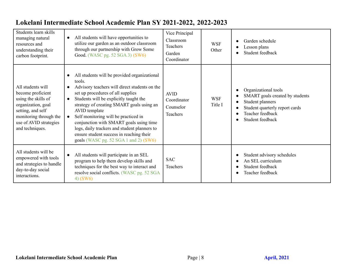| Students learn skills<br>managing natural<br>resources and<br>understanding their<br>carbon footprint.                                                                          | All students will have opportunities to<br>$\bullet$<br>utilize our garden as an outdoor classroom<br>through our partnership with Grow Some<br>Good. (WASC pg. 52 SGA 3) (SW6)                                                                                                                                                                                                                                                                                                           | Vice Principal<br>Classroom<br>Teachers<br>Garden<br>Coordinator | <b>WSF</b><br>Other   | Garden schedule<br>Lesson plans<br>Student feedback                                                                                                   |
|---------------------------------------------------------------------------------------------------------------------------------------------------------------------------------|-------------------------------------------------------------------------------------------------------------------------------------------------------------------------------------------------------------------------------------------------------------------------------------------------------------------------------------------------------------------------------------------------------------------------------------------------------------------------------------------|------------------------------------------------------------------|-----------------------|-------------------------------------------------------------------------------------------------------------------------------------------------------|
| All students will<br>become proficient<br>using the skills of<br>organization, goal<br>setting, and self<br>monitoring through the<br>use of AVID strategies<br>and techniques. | All students will be provided organizational<br>tools.<br>Advisory teachers will direct students on the<br>set up procedures of all supplies<br>Students will be explicitly taught the<br>$\bullet$<br>strategy of creating SMART goals using an<br>AVID template<br>Self monitoring will be practiced in<br>conjunction with SMART goals using time<br>logs, daily trackers and student planners to<br>ensure student success in reaching their<br>goals (WASC pg. 52 SGA 1 and 2) (SW6) | <b>AVID</b><br>Coordinator<br>Counselor<br>Teachers              | <b>WSF</b><br>Title I | Organizational tools<br>SMART goals created by students<br>Student planners<br>Student quarterly report cards<br>Teacher feedback<br>Student feedback |
| All students will be<br>empowered with tools<br>and strategies to handle<br>day-to-day social<br>interactions.                                                                  | All students will participate in an SEL<br>program to help them develop skills and<br>techniques for the best way to interact and<br>resolve social conflicts. (WASC pg. 52 SGA<br>$4)$ (SW6)                                                                                                                                                                                                                                                                                             | <b>SAC</b><br>Teachers                                           |                       | Student advisory schedules<br>An SEL curriculum<br>Student feedback<br>Teacher feedback                                                               |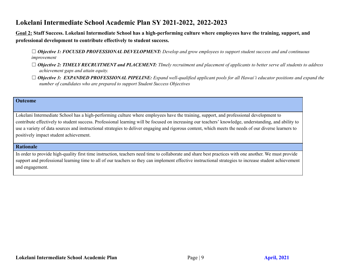**Goal 2: Staff Success. Lokelani Intermediate School has a high-performing culture where employees have the training, support, and professional development to contribute effectively to student success.**

 $\Box$  Objective 1: FOCUSED PROFESSIONAL DEVELOPMENT: Develop and grow employees to support student success and and continuous *improvement*

- $\Box$  Objective 2: TIMELY RECRUITMENT and PLACEMENT: TImely recruitment and placement of applicants to better serve all students to address *achievement gaps and attain equity.*
- $\Box$  Objective 3: EXPANDED PROFESSIONAL PIPELINE: Expand well-qualified applicant pools for all Hawai'i educator positions and expand the *number of candidates who are prepared to support Student Success Objectives*

#### **Outcome**

Lokelani Intermediate School has a high-performing culture where employees have the training, support, and professional development to contribute effectively to student success. Professional learning will be focused on increasing our teachers' knowledge, understanding, and ability to use a variety of data sources and instructional strategies to deliver engaging and rigorous content, which meets the needs of our diverse learners to positively impact student achievement.

#### **Rationale**

In order to provide high-quality first time instruction, teachers need time to collaborate and share best practices with one another. We must provide support and professional learning time to all of our teachers so they can implement effective instructional strategies to increase student achievement and engagement.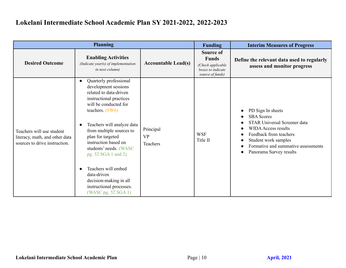|                                                                                              | <b>Planning</b>                                                                                                                                                                                                                                                                                                                                                                                                              |                                    | <b>Funding</b>                                                                          | <b>Interim Measures of Progress</b>                                                                                                                                                                                      |
|----------------------------------------------------------------------------------------------|------------------------------------------------------------------------------------------------------------------------------------------------------------------------------------------------------------------------------------------------------------------------------------------------------------------------------------------------------------------------------------------------------------------------------|------------------------------------|-----------------------------------------------------------------------------------------|--------------------------------------------------------------------------------------------------------------------------------------------------------------------------------------------------------------------------|
| <b>Desired Outcome</b>                                                                       | <b>Enabling Activities</b><br>(Indicate year(s) of implementation<br>in next column)                                                                                                                                                                                                                                                                                                                                         | <b>Accountable Lead(s)</b>         | Source of<br><b>Funds</b><br>(Check applicable<br>boxes to indicate<br>source of funds) | Define the relevant data used to regularly<br>assess and monitor progress                                                                                                                                                |
| Teachers will use student<br>literacy, math, and other data<br>sources to drive instruction. | Quarterly professional<br>development sessions<br>related to data-driven<br>instructional practices<br>will be conducted for<br>teachers. $(SW6)$<br>Teachers will analyze data<br>from multiple sources to<br>plan for targeted<br>instruction based on<br>students' needs. (WASC<br>pg. 52 SGA 1 and 2)<br>Teachers will embed<br>data-driven<br>decision-making in all<br>instructional processes.<br>(WASC pg. 52 SGA 1) | Principal<br><b>VP</b><br>Teachers | <b>WSF</b><br>Title II                                                                  | PD Sign In sheets<br><b>SBA</b> Scores<br>STAR Universal Screener data<br><b>WIDA Access results</b><br>Feedback from teachers<br>Student work samples<br>Formative and summative assessments<br>Panorama Survey results |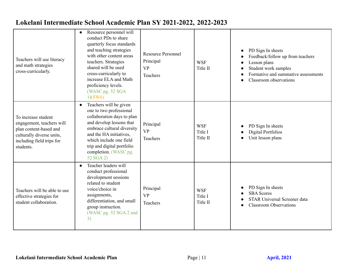| Teachers will use literacy<br>and math strategies<br>cross-curricularly.                                                                          | Resource personnel will<br>conduct PDs to share<br>quarterly focus standards<br>and teaching strategies<br>with other content areas<br>teachers. Strategies<br>shared will be used<br>cross-curricularly to<br>increase ELA and Math<br>proficiency levels.<br>(WASC pg. 52 SGA<br>1)(SW6) | <b>Resource Personnel</b><br>Principal<br><b>VP</b><br>Teachers | <b>WSF</b><br>Title II            | PD Sign In sheets<br>Feedback/follow up from teachers<br>Lesson plans<br>Student work samples<br>Formative and summative assessments<br>Classroom observations |
|---------------------------------------------------------------------------------------------------------------------------------------------------|--------------------------------------------------------------------------------------------------------------------------------------------------------------------------------------------------------------------------------------------------------------------------------------------|-----------------------------------------------------------------|-----------------------------------|----------------------------------------------------------------------------------------------------------------------------------------------------------------|
| To increase student<br>engagement, teachers will<br>plan content-based and<br>culturally diverse units,<br>including field trips for<br>students. | Teachers will be given<br>$\bullet$<br>one to two professional<br>collaboration days to plan<br>and develop lessons that<br>embrace cultural diversity<br>and the HA initiatives,<br>which include one field<br>trip and digital portfolio<br>completion. (WASC pg.<br>52 SGA 2)           | Principal<br><b>VP</b><br>Teachers                              | <b>WSF</b><br>Title I<br>Title II | PD Sign In sheets<br><b>Digital Portfolios</b><br>Unit lesson plans                                                                                            |
| Teachers will be able to use<br>effective strategies for<br>student collaboration.                                                                | Teacher leaders will<br>$\bullet$<br>conduct professional<br>development sessions<br>related to student<br>voice/choice in<br>assignments,<br>differentiation, and small<br>group instruction.<br>(WASC pg. 52 SGA 2 and<br>3)                                                             | Principal<br><b>VP</b><br>Teachers                              | <b>WSF</b><br>Title I<br>Title II | PD Sign In sheets<br><b>SBA</b> Scores<br><b>STAR Universal Screener data</b><br><b>Classroom Observations</b>                                                 |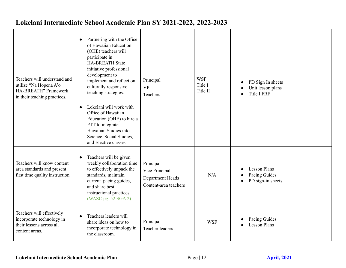| Teachers will understand and<br>utilize "Na Hopena A'o<br>HA-BREATH" Framework<br>in their teaching practices. | Partnering with the Office<br>of Hawaiian Education<br>(OHE) teachers will<br>participate in<br><b>HA-BREATH State</b><br>initiative professional<br>development to<br>implement and reflect on<br>culturally responsive<br>teaching strategies.<br>Lokelani will work with<br>$\bullet$ | Principal<br><b>VP</b><br>Teachers                                       | <b>WSF</b><br>Title I<br>Title II | PD Sign In sheets<br>Unit lesson plans<br><b>Title I FRF</b> |
|----------------------------------------------------------------------------------------------------------------|------------------------------------------------------------------------------------------------------------------------------------------------------------------------------------------------------------------------------------------------------------------------------------------|--------------------------------------------------------------------------|-----------------------------------|--------------------------------------------------------------|
|                                                                                                                | Office of Hawaiian<br>Education (OHE) to hire a<br>PTT to integrate<br>Hawaiian Studies into<br>Science, Social Studies,<br>and Elective classes                                                                                                                                         |                                                                          |                                   |                                                              |
| Teachers will know content<br>area standards and present<br>first time quality instruction.                    | Teachers will be given<br>weekly collaboration time<br>to effectively unpack the<br>standards, maintain<br>current pacing guides,<br>and share best<br>instructional practices.<br>(WASC pg. 52 SGA 2)                                                                                   | Principal<br>Vice Principal<br>Department Heads<br>Content-area teachers | N/A                               | <b>Lesson Plans</b><br>Pacing Guides<br>PD sign-in sheets    |
| Teachers will effectively<br>incorporate technology in<br>their lessons across all<br>content areas.           | Teachers leaders will<br>share ideas on how to<br>incorporate technology in<br>the classroom.                                                                                                                                                                                            | Principal<br><b>Teacher leaders</b>                                      | <b>WSF</b>                        | Pacing Guides<br><b>Lesson Plans</b>                         |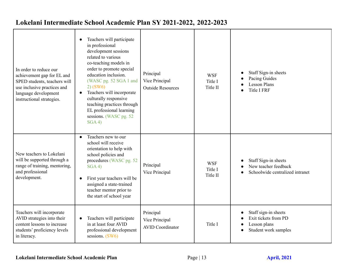| In order to reduce our<br>achievement gap for EL and<br>SPED students, teachers will<br>use inclusive practices and<br>language development<br>instructional strategies. | Teachers will participate<br>in professional<br>development sessions<br>related to various<br>co-teaching models in<br>order to promote special<br>education inclusion.<br>(WASC pg. 52 SGA 1 and<br>$2)$ (SW6)<br>Teachers will incorporate<br>$\bullet$<br>culturally responsive<br>teaching practices through<br>EL professional learning<br>sessions. (WASC pg. 52<br>SGA 4) | Principal<br>Vice Principal<br><b>Outside Resources</b> | <b>WSF</b><br>Title I<br>Title II | Staff Sign-in sheets<br>Pacing Guides<br><b>Lesson Plans</b><br><b>Title I FRF</b>   |
|--------------------------------------------------------------------------------------------------------------------------------------------------------------------------|----------------------------------------------------------------------------------------------------------------------------------------------------------------------------------------------------------------------------------------------------------------------------------------------------------------------------------------------------------------------------------|---------------------------------------------------------|-----------------------------------|--------------------------------------------------------------------------------------|
| New teachers to Lokelani<br>will be supported through a<br>range of training, mentoring,<br>and professional<br>development.                                             | Teachers new to our<br>$\bullet$<br>school will receive<br>orientation to help with<br>school policies and<br>procedures (WASC pg. 52)<br>SGA 4)<br>First year teachers will be<br>assigned a state-trained<br>teacher mentor prior to<br>the start of school year                                                                                                               | Principal<br>Vice Principal                             | <b>WSF</b><br>Title I<br>Title II | Staff Sign-in sheets<br>New teacher feedback<br>Schoolwide centralized intranet      |
| Teachers will incorporate<br>AVID strategies into their<br>content lessons to increase<br>students' proficiency levels<br>in literacy.                                   | Teachers will participate<br>in at least four AVID<br>professional development<br>sessions. (SW6)                                                                                                                                                                                                                                                                                | Principal<br>Vice Principal<br><b>AVID Coordinator</b>  | Title I                           | Staff sign-in sheets<br>Exit tickets from PD<br>Lesson plans<br>Student work samples |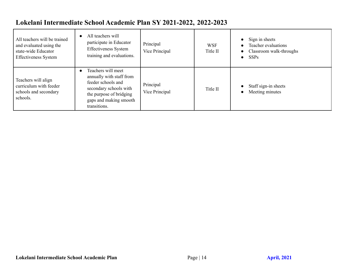| All teachers will be trained<br>and evaluated using the<br>state-wide Educator<br><b>Effectiveness System</b> | All teachers will<br>participate in Educator<br><b>Effectiveness System</b><br>training and evaluations.                                                            | Principal<br>Vice Principal | <b>WSF</b><br>Title II | Sign in sheets<br>Teacher evaluations<br>Classroom walk-throughs<br><b>SSPs</b><br>$\bullet$ |
|---------------------------------------------------------------------------------------------------------------|---------------------------------------------------------------------------------------------------------------------------------------------------------------------|-----------------------------|------------------------|----------------------------------------------------------------------------------------------|
| Teachers will align<br>curriculum with feeder<br>schools and secondary<br>schools.                            | Teachers will meet<br>annually with staff from<br>feeder schools and<br>secondary schools with<br>the purpose of bridging<br>gaps and making smooth<br>transitions. | Principal<br>Vice Principal | Title II               | Staff sign-in sheets<br>Meeting minutes                                                      |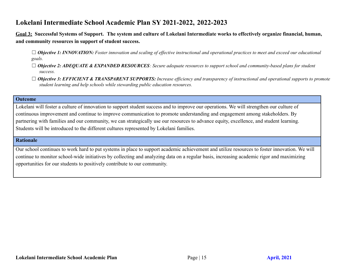**Goal 3: Successful Systems of Support. The system and culture of Lokelani Intermediate works to effectively organize financial, human, and community resources in support of student success.**

 $\Box$  Objective 1: INNOVATION: Foster innovation and scaling of effective instructional and operational practices to meet and exceed our educational *goals.*

- $\Box$  Objective 2: ADEQUATE & EXPANDED RESOURCES: Secure adequate resources to support school and community-based plans for student *success.*
- $\Box$  Objective 3: EFFICIENT & TRANSPARENT SUPPORTS: Increase efficiency and transparency of instructional and operational supports to promote *student learning and help schools while stewarding public education resources.*

#### **Outcome**

Lokelani will foster a culture of innovation to support student success and to improve our operations. We will strengthen our culture of continuous improvement and continue to improve communication to promote understanding and engagement among stakeholders. By partnering with families and our community, we can strategically use our resources to advance equity, excellence, and student learning. Students will be introduced to the different cultures represented by Lokelani families.

#### **Rationale**

Our school continues to work hard to put systems in place to support academic achievement and utilize resources to foster innovation. We will continue to monitor school-wide initiatives by collecting and analyzing data on a regular basis, increasing academic rigor and maximizing opportunities for our students to positively contribute to our community.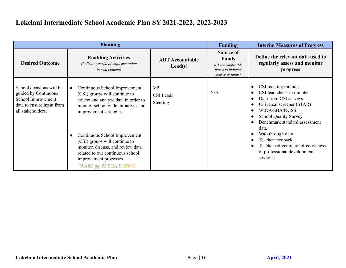| <b>Planning</b>                                                                                                          |                                                                                                                                                                                                                                                                                                                                                                                                        | <b>Funding</b>                             | <b>Interim Measures of Progress</b>                                                     |                                                                                                                                                                                                                                                                                                                                   |
|--------------------------------------------------------------------------------------------------------------------------|--------------------------------------------------------------------------------------------------------------------------------------------------------------------------------------------------------------------------------------------------------------------------------------------------------------------------------------------------------------------------------------------------------|--------------------------------------------|-----------------------------------------------------------------------------------------|-----------------------------------------------------------------------------------------------------------------------------------------------------------------------------------------------------------------------------------------------------------------------------------------------------------------------------------|
| <b>Desired Outcome</b>                                                                                                   | <b>Enabling Activities</b><br>(Indicate year(s) of implementation<br><i>in next column)</i>                                                                                                                                                                                                                                                                                                            | <b>ART Accountable</b><br>$\text{Lead}(s)$ | Source of<br><b>Funds</b><br>(Check applicable<br>boxes to indicate<br>source of funds) | Define the relevant data used to<br>regularly assess and monitor<br>progress                                                                                                                                                                                                                                                      |
| School decisions will be<br>guided by Continuous<br>School Improvement<br>data to ensure input from<br>all stakeholders. | Continuous School Improvement<br>$\bullet$<br>(CSI) groups will continue to<br>collect and analyze data in order to<br>monitor school wide initiatives and<br>improvement strategies.<br>Continuous School Improvement<br>$\bullet$<br>(CSI) groups will continue to<br>monitor, discuss, and review data<br>related to our continuous school<br>improvement processes.<br>(WASC pg. 52 SGA 5) $(SW3)$ | <b>VP</b><br><b>CSI</b> Leads<br>Steering  | N/A                                                                                     | CSI meeting minutes<br>CSI lead check in minutes<br>Data from CSI surveys<br>Universal screener (STAR)<br><b>WIDA/SBA/NGSS</b><br><b>School Quality Survey</b><br>Benchmark standard assessment<br>data<br>Walkthrough data<br>Teacher feedback<br>Teacher reflection on effectiveness<br>of professional development<br>sessions |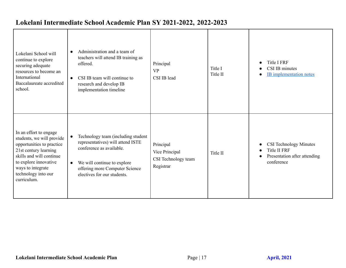| Lokelani School will<br>continue to explore<br>securing adequate<br>resources to become an<br>International<br>Baccalaureate accredited<br>school.                                                                        | Administration and a team of<br>$\bullet$<br>teachers will attend IB training as<br>offered.<br>CSI IB team will continue to<br>$\bullet$<br>research and develop IB<br>implementation timeline     | Principal<br><b>VP</b><br>CSI IB lead                           | Title I<br>Title II | <b>Title I FRF</b><br>CSI IB minutes<br><b>IB</b> implementation notes                             |
|---------------------------------------------------------------------------------------------------------------------------------------------------------------------------------------------------------------------------|-----------------------------------------------------------------------------------------------------------------------------------------------------------------------------------------------------|-----------------------------------------------------------------|---------------------|----------------------------------------------------------------------------------------------------|
| In an effort to engage<br>students, we will provide<br>opportunities to practice<br>21st century learning<br>skills and will continue<br>to explore innovative<br>ways to integrate<br>technology into our<br>curriculum. | Technology team (including student<br>representatives) will attend ISTE<br>conference as available.<br>We will continue to explore<br>offering more Computer Science<br>electives for our students. | Principal<br>Vice Principal<br>CSI Technology team<br>Registrar | Title II            | <b>CSI Technology Minutes</b><br><b>Title II FRF</b><br>Presentation after attending<br>conference |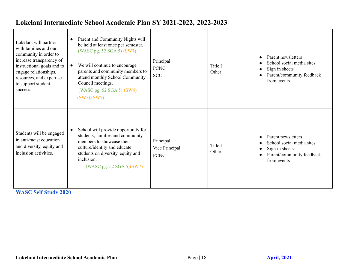| Lokelani will partner<br>with families and our<br>community in order to<br>increase transparency of<br>instructional goals and to<br>engage relationships,<br>resources, and expertise<br>to support student<br>success. | Parent and Community Nights will<br>$\bullet$<br>be held at least once per semester.<br>(WASC pg. 52 SGA 5) (SW7)<br>We will continue to encourage<br>parents and community members to<br>attend monthly School Community<br>Council meetings.<br>(WASC pg. 52 SGA 5) (SW4)<br>(SW5) (SW7) | Principal<br><b>PCNC</b><br><b>SCC</b>     | Title I<br>Other | Parent newsletters<br>School social media sites<br>Sign in sheets<br>Parent/community feedback<br>from events |
|--------------------------------------------------------------------------------------------------------------------------------------------------------------------------------------------------------------------------|--------------------------------------------------------------------------------------------------------------------------------------------------------------------------------------------------------------------------------------------------------------------------------------------|--------------------------------------------|------------------|---------------------------------------------------------------------------------------------------------------|
| Students will be engaged<br>in anti-racist education<br>and diversity, equity and<br>inclusion activities.                                                                                                               | School will provide opportunity for<br>students, families and community<br>members to showcase their<br>culture/identity and educate<br>students on diversity, equity and<br>inclusion.<br>(WASC pg. 52 SGA 5)(SW7)                                                                        | Principal<br>Vice Principal<br><b>PCNC</b> | Title I<br>Other | Parent newsletters<br>School social media sites<br>Sign in sheets<br>Parent/community feedback<br>from events |

**[WASC](https://docs.google.com/document/d/1pASSFR9grZcdzqzZ3pAH-bTaPYBnNwoQCExAtB-FcBE/edit) Self Study 2020**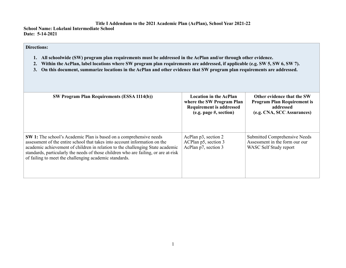**School Name: Lokelani Intermediate School Date: 5-14-2021** 

#### **Directions:**

- **1. All schoolwide (SW) program plan requirements must be addressed in the AcPlan and/or through other evidence.**
- **2. Within the AcPlan, label locations where SW program plan requirements are addressed, if applicable (e.g. SW 5, SW 6, SW 7).**
- **3. On this document, summarize locations in the AcPlan and other evidence that SW program plan requirements are addressed.**

| <b>SW Program Plan Requirements (ESSA 1114(b))</b>                                                                                                                                                                                                                                                                                                                                         | <b>Location in the AcPlan</b><br>where the SW Program Plan<br><b>Requirement is addressed</b><br>(e.g. page #, section) | Other evidence that the SW<br><b>Program Plan Requirement is</b><br>addressed<br>(e.g. CNA, SCC Assurances) |
|--------------------------------------------------------------------------------------------------------------------------------------------------------------------------------------------------------------------------------------------------------------------------------------------------------------------------------------------------------------------------------------------|-------------------------------------------------------------------------------------------------------------------------|-------------------------------------------------------------------------------------------------------------|
| <b>SW 1:</b> The school's Academic Plan is based on a comprehensive needs<br>assessment of the entire school that takes into account information on the<br>academic achievement of children in relation to the challenging State academic<br>standards, particularly the needs of those children who are failing, or are at-risk<br>of failing to meet the challenging academic standards. | AcPlan p3, section 2<br>ACPlan p5, section 3<br>AcPlan p7, section 3                                                    | Submitted Comprehensive Needs<br>Assessment in the form our our<br>WASC Self Study report                   |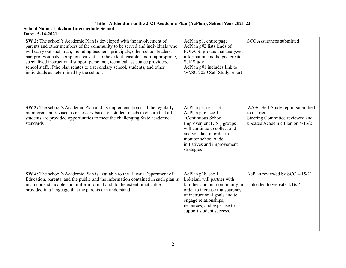| SW 2: The school's Academic Plan is developed with the involvement of<br>parents and other members of the community to be served and individuals who<br>will carry out such plan, including teachers, principals, other school leaders,<br>paraprofessionals, complex area staff, to the extent feasible, and if appropriate,<br>specialized instructional support personnel, technical assistance providers,<br>school staff, if the plan relates to a secondary school, students, and other<br>individuals as determined by the school. | AcPlan p1, entire page<br>AcPlan p#2 lists leads of<br>FOL/CSI groups that analyzed<br>information and helped create<br>Self Study<br>AcPlan $p\#1$ includes link to<br>WASC 2020 Self Study report                                     | <b>SCC Assurances submitted</b>                                                                                         |
|-------------------------------------------------------------------------------------------------------------------------------------------------------------------------------------------------------------------------------------------------------------------------------------------------------------------------------------------------------------------------------------------------------------------------------------------------------------------------------------------------------------------------------------------|-----------------------------------------------------------------------------------------------------------------------------------------------------------------------------------------------------------------------------------------|-------------------------------------------------------------------------------------------------------------------------|
| SW 3: The school's Academic Plan and its implementation shall be regularly<br>monitored and revised as necessary based on student needs to ensure that all<br>students are provided opportunities to meet the challenging State academic<br>standards                                                                                                                                                                                                                                                                                     | AcPlan p3, sec 1, 3<br>AcPlan p16, sec 1<br>"Continuous School<br>Improvement (CSI) groups<br>will continue to collect and<br>analyze data in order to<br>monitor school wide<br>initiatives and improvement<br>strategies              | WASC Self-Study report submitted<br>to district.<br>Steering Committee reviewed and<br>updated Academic Plan on 4/13/21 |
| SW 4: The school's Academic Plan is available to the Hawaii Department of<br>Education, parents, and the public and the information contained in such plan is<br>in an understandable and uniform format and, to the extent practicable,<br>provided in a language that the parents can understand.                                                                                                                                                                                                                                       | AcPlan p18, sec 1<br>Lokelani will partner with<br>families and our community in<br>order to increase transparency<br>of instructional goals and to<br>engage relationships,<br>resources, and expertise to<br>support student success. | AcPlan reviewed by SCC 4/15/21<br>Uploaded to website 4/16/21                                                           |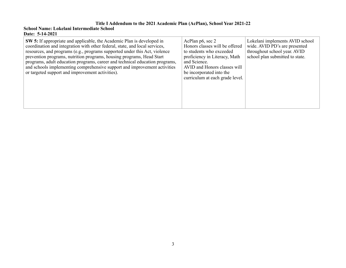| <b>SW 5:</b> If appropriate and applicable, the Academic Plan is developed in<br>coordination and integration with other federal, state, and local services,<br>resources, and programs (e.g., programs supported under this Act, violence<br>prevention programs, nutrition programs, housing programs, Head Start<br>programs, adult education programs, career and technical education programs,<br>and schools implementing comprehensive support and improvement activities<br>or targeted support and improvement activities). | AcPlan p6, sec 2<br>Honors classes will be offered<br>to students who exceeded<br>proficiency in Literacy, Math<br>and Science.<br>AVID and Honors classes will<br>be incorporated into the<br>curriculum at each grade level. | Lokelani implements AVID school<br>wide. AVID PD's are presented<br>throughout school year. AVID<br>school plan submitted to state. |
|--------------------------------------------------------------------------------------------------------------------------------------------------------------------------------------------------------------------------------------------------------------------------------------------------------------------------------------------------------------------------------------------------------------------------------------------------------------------------------------------------------------------------------------|--------------------------------------------------------------------------------------------------------------------------------------------------------------------------------------------------------------------------------|-------------------------------------------------------------------------------------------------------------------------------------|
|--------------------------------------------------------------------------------------------------------------------------------------------------------------------------------------------------------------------------------------------------------------------------------------------------------------------------------------------------------------------------------------------------------------------------------------------------------------------------------------------------------------------------------------|--------------------------------------------------------------------------------------------------------------------------------------------------------------------------------------------------------------------------------|-------------------------------------------------------------------------------------------------------------------------------------|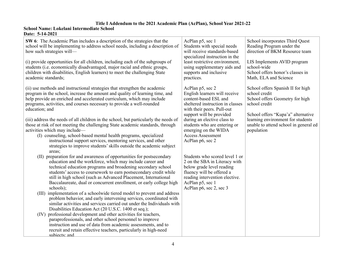| SW 6: The Academic Plan includes a description of the strategies that the<br>school will be implementing to address school needs, including a description of<br>how such strategies will-<br>(i) provide opportunities for all children, including each of the subgroups of<br>students (i.e. economically disadvantaged, major racial and ethnic groups,<br>children with disabilities, English learners) to meet the challenging State<br>academic standards;                                                                                                                                                                                                                                                                                                                                                                                                                                                                                                                            | AcPlan p5, sec 1<br>Students with special needs<br>will receive standards-based<br>specialized instruction in the<br>least restrictive environment,<br>using supplementary aids and<br>supports and inclusive<br>practices.                                                                                     | School incorporates Third Quest<br>Reading Program under the<br>direction of BKM Resource team<br>LIS Implements AVID program<br>school-wide<br>School offers honor's classes in<br>Math, ELA and Science                                |
|--------------------------------------------------------------------------------------------------------------------------------------------------------------------------------------------------------------------------------------------------------------------------------------------------------------------------------------------------------------------------------------------------------------------------------------------------------------------------------------------------------------------------------------------------------------------------------------------------------------------------------------------------------------------------------------------------------------------------------------------------------------------------------------------------------------------------------------------------------------------------------------------------------------------------------------------------------------------------------------------|-----------------------------------------------------------------------------------------------------------------------------------------------------------------------------------------------------------------------------------------------------------------------------------------------------------------|------------------------------------------------------------------------------------------------------------------------------------------------------------------------------------------------------------------------------------------|
| (ii) use methods and instructional strategies that strengthen the academic<br>program in the school, increase the amount and quality of learning time, and<br>help provide an enriched and accelerated curriculum, which may include<br>programs, activities, and courses necessary to provide a well-rounded<br>education; and<br>(iii) address the needs of all children in the school, but particularly the needs of<br>those at risk of not meeting the challenging State academic standards, through<br>activities which may include—<br>(I) counseling, school-based mental health programs, specialized<br>instructional support services, mentoring services, and other<br>strategies to improve students' skills outside the academic subject<br>areas;                                                                                                                                                                                                                           | AcPlan p5, sec 2<br>English learners will receive<br>content-based ESL and<br>sheltered instruction in classes<br>with their peers. Pull-out<br>support will be provided<br>during an elective class to<br>students who are entering or<br>emerging on the WIDA<br><b>Access Assessment</b><br>AcPlan p6, sec 2 | School offers Spanish II for high<br>school credit<br>School offers Geometry for high<br>school credit<br>School offers "Kupa'a" alternative<br>learning environment for students<br>unable to attend school in general ed<br>population |
| (II) preparation for and awareness of opportunities for postsecondary<br>education and the workforce, which may include career and<br>technical education programs and broadening secondary school<br>students' access to coursework to earn postsecondary credit while<br>still in high school (such as Advanced Placement, International<br>Baccalaureate, dual or concurrent enrollment, or early college high<br>schools);<br>(III) implementation of a schoolwide tiered model to prevent and address<br>problem behavior, and early intervening services, coordinated with<br>similar activities and services carried out under the Individuals with<br>Disabilities Education Act (20 U.S.C. 1400 et seq.);<br>professional development and other activities for teachers,<br>(IV)<br>paraprofessionals, and other school personnel to improve<br>instruction and use of data from academic assessments, and to<br>recruit and retain effective teachers, particularly in high-need | Students who scored level 1 or<br>2 on the SBA in Literacy with<br>below grade level reading<br>fluency will be offered a<br>reading intervention elective.<br>AcPlan p5, sec 1<br>AcPlan p6, sec 2, sec 3                                                                                                      |                                                                                                                                                                                                                                          |
| subiects: and                                                                                                                                                                                                                                                                                                                                                                                                                                                                                                                                                                                                                                                                                                                                                                                                                                                                                                                                                                              |                                                                                                                                                                                                                                                                                                                 |                                                                                                                                                                                                                                          |